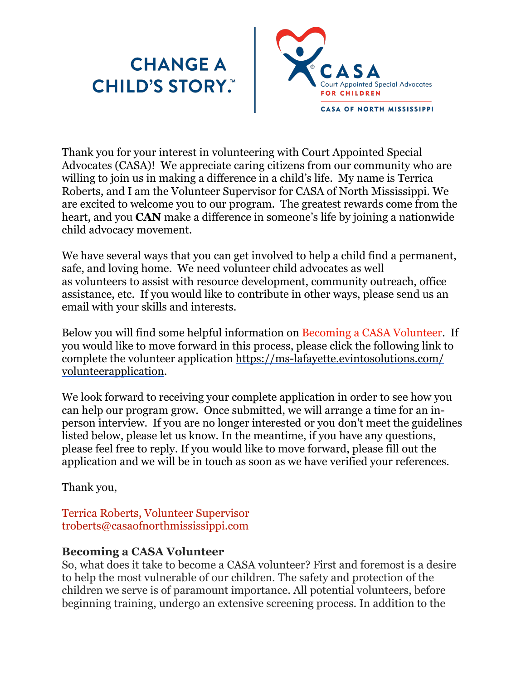# **CHANGE A<br>CHILD'S STORY."**



Thank you for your interest in volunteering with Court Appointed Special Advocates (CASA)! We appreciate caring citizens from our community who are willing to join us in making a difference in a child's life. My name is Terrica Roberts, and I am the Volunteer Supervisor for CASA of North Mississippi. We are excited to welcome you to our program. The greatest rewards come from the heart, and you **CAN** make a difference in someone's life by joining a nationwide child advocacy movement.

We have several ways that you can get involved to help a child find a permanent, safe, and loving home. We need volunteer child advocates as well as volunteers to assist with resource development, community outreach, office assistance, etc. If you would like to contribute in other ways, please send us an email with your skills and interests.

Below you will find some helpful information on Becoming a CASA Volunteer. If you would like to move forward in this process, please click the following link to complete the volunteer application [https://ms-lafayette.evintosolutions.com/](https://ms-lafayette.evintosolutions.com/volunteerapplication) [volunteerapplication](https://ms-lafayette.evintosolutions.com/volunteerapplication).

We look forward to receiving your complete application in order to see how you can help our program grow. Once submitted, we will arrange a time for an inperson interview. If you are no longer interested or you don't meet the guidelines listed below, please let us know. In the meantime, if you have any questions, please feel free to reply. If you would like to move forward, please fill out the application and we will be in touch as soon as we have verified your references.

Thank you,

Terrica Roberts, Volunteer Supervisor troberts@casaofnorthmississippi.com

# **Becoming a CASA Volunteer**

So, what does it take to become a CASA volunteer? First and foremost is a desire to help the most vulnerable of our children. The safety and protection of the children we serve is of paramount importance. All potential volunteers, before beginning training, undergo an extensive screening process. In addition to the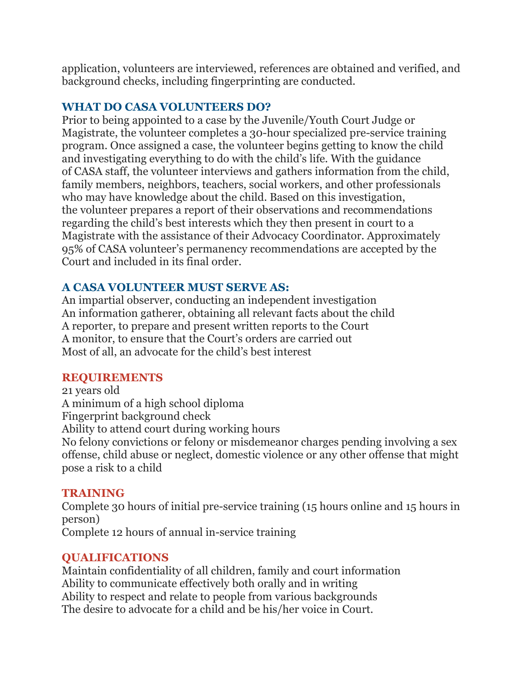application, volunteers are interviewed, references are obtained and verified, and background checks, including fingerprinting are conducted.

# **WHAT DO CASA VOLUNTEERS DO?**

Prior to being appointed to a case by the Juvenile/Youth Court Judge or Magistrate, the volunteer completes a 30-hour specialized pre-service training program. Once assigned a case, the volunteer begins getting to know the child and investigating everything to do with the child's life. With the guidance of CASA staff, the volunteer interviews and gathers information from the child, family members, neighbors, teachers, social workers, and other professionals who may have knowledge about the child. Based on this investigation, the volunteer prepares a report of their observations and recommendations regarding the child's best interests which they then present in court to a Magistrate with the assistance of their Advocacy Coordinator. Approximately 95% of CASA volunteer's permanency recommendations are accepted by the Court and included in its final order.

# **A CASA VOLUNTEER MUST SERVE AS:**

An impartial observer, conducting an independent investigation An information gatherer, obtaining all relevant facts about the child A reporter, to prepare and present written reports to the Court A monitor, to ensure that the Court's orders are carried out Most of all, an advocate for the child's best interest

#### **REQUIREMENTS**

21 years old A minimum of a high school diploma Fingerprint background check Ability to attend court during working hours No felony convictions or felony or misdemeanor charges pending involving a sex offense, child abuse or neglect, domestic violence or any other offense that might pose a risk to a child

## **TRAINING**

Complete 30 hours of initial pre-service training (15 hours online and 15 hours in person) Complete 12 hours of annual in-service training

## **QUALIFICATIONS**

Maintain confidentiality of all children, family and court information Ability to communicate effectively both orally and in writing Ability to respect and relate to people from various backgrounds The desire to advocate for a child and be his/her voice in Court.